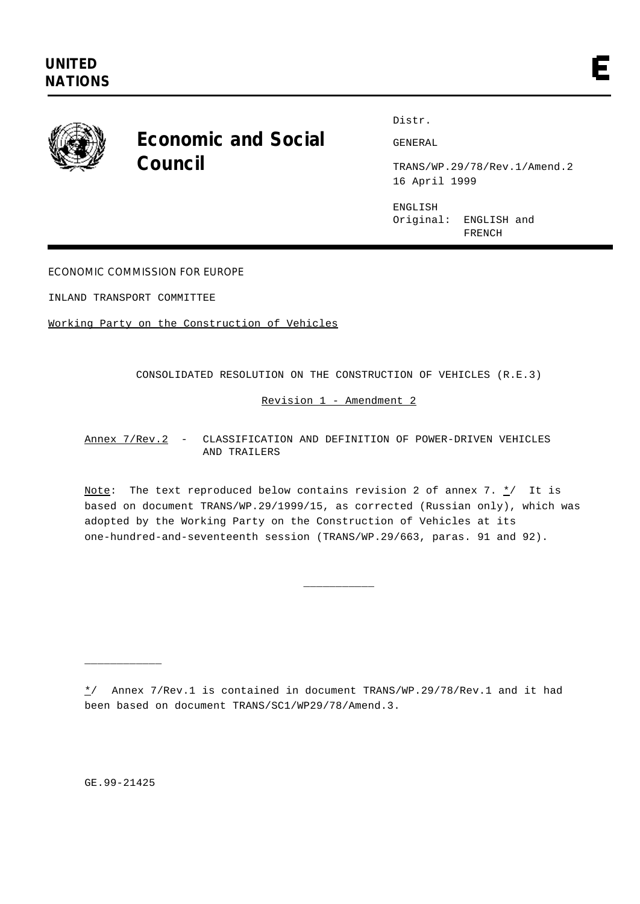

# **Economic and Social** GENERAL **Council** TRANS/WP.29/78/Rev.1/Amend.2

Distr.

16 April 1999

ENGLISH Original: ENGLISH and FRENCH

ECONOMIC COMMISSION FOR EUROPE

INLAND TRANSPORT COMMITTEE

Working Party on the Construction of Vehicles

CONSOLIDATED RESOLUTION ON THE CONSTRUCTION OF VEHICLES (R.E.3)

Revision 1 - Amendment 2

Annex 7/Rev.2 - CLASSIFICATION AND DEFINITION OF POWER-DRIVEN VEHICLES AND TRAILERS

Note: The text reproduced below contains revision 2 of annex 7.  $\frac{\star}{ }$  It is based on document TRANS/WP.29/1999/15, as corrected (Russian only), which was adopted by the Working Party on the Construction of Vehicles at its one-hundred-and-seventeenth session (TRANS/WP.29/663, paras. 91 and 92).

\_\_\_\_\_\_\_\_\_\_\_

\*/ Annex 7/Rev.1 is contained in document TRANS/WP.29/78/Rev.1 and it had been based on document TRANS/SC1/WP29/78/Amend.3.

GE.99-21425

\_\_\_\_\_\_\_\_\_\_\_\_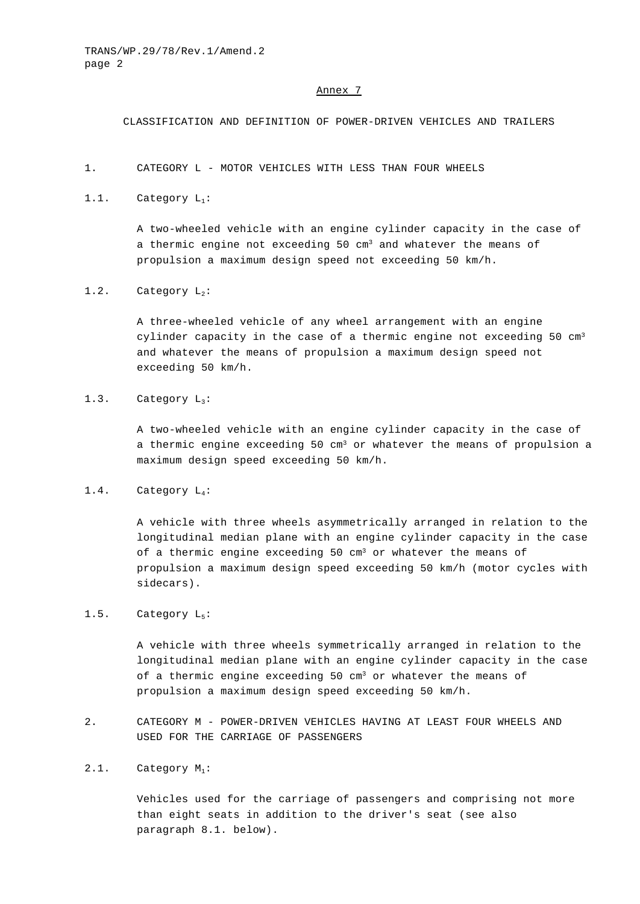#### Annex 7

#### CLASSIFICATION AND DEFINITION OF POWER-DRIVEN VEHICLES AND TRAILERS

- 1. CATEGORY L MOTOR VEHICLES WITH LESS THAN FOUR WHEELS
- 1.1. Category L<sub>1</sub>:

A two-wheeled vehicle with an engine cylinder capacity in the case of a thermic engine not exceeding 50 cm<sup>3</sup> and whatever the means of propulsion a maximum design speed not exceeding 50 km/h.

#### 1.2. Category  $L_2$ :

A three-wheeled vehicle of any wheel arrangement with an engine cylinder capacity in the case of a thermic engine not exceeding 50  $cm<sup>3</sup>$ and whatever the means of propulsion a maximum design speed not exceeding 50 km/h.

#### 1.3. Category  $L_3$ :

A two-wheeled vehicle with an engine cylinder capacity in the case of a thermic engine exceeding 50  $cm<sup>3</sup>$  or whatever the means of propulsion a maximum design speed exceeding 50 km/h.

#### 1.4. Category L<sub>4</sub>:

A vehicle with three wheels asymmetrically arranged in relation to the longitudinal median plane with an engine cylinder capacity in the case of a thermic engine exceeding 50  $cm<sup>3</sup>$  or whatever the means of propulsion a maximum design speed exceeding 50 km/h (motor cycles with sidecars).

#### 1.5. Category L<sub>5</sub>:

A vehicle with three wheels symmetrically arranged in relation to the longitudinal median plane with an engine cylinder capacity in the case of a thermic engine exceeding 50 cm<sup>3</sup> or whatever the means of propulsion a maximum design speed exceeding 50 km/h.

2. CATEGORY M - POWER-DRIVEN VEHICLES HAVING AT LEAST FOUR WHEELS AND USED FOR THE CARRIAGE OF PASSENGERS

## $2.1.$  Category  $M_1$ :

Vehicles used for the carriage of passengers and comprising not more than eight seats in addition to the driver's seat (see also paragraph 8.1. below).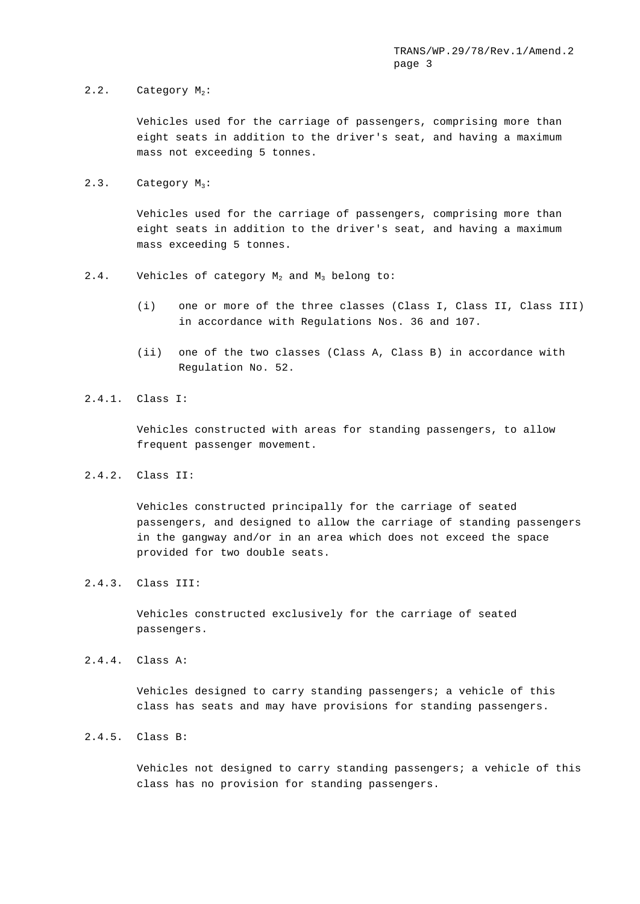$2.2.$  Category  $M_2$ :

Vehicles used for the carriage of passengers, comprising more than eight seats in addition to the driver's seat, and having a maximum mass not exceeding 5 tonnes.

 $2.3.$  Category  $M_3$ :

Vehicles used for the carriage of passengers, comprising more than eight seats in addition to the driver's seat, and having a maximum mass exceeding 5 tonnes.

- 2.4. Vehicles of category  $M_2$  and  $M_3$  belong to:
	- (i) one or more of the three classes (Class I, Class II, Class III) in accordance with Regulations Nos. 36 and 107.
	- (ii) one of the two classes (Class A, Class B) in accordance with Regulation No. 52.
- 2.4.1. Class I:

Vehicles constructed with areas for standing passengers, to allow frequent passenger movement.

2.4.2. Class II:

Vehicles constructed principally for the carriage of seated passengers, and designed to allow the carriage of standing passengers in the gangway and/or in an area which does not exceed the space provided for two double seats.

2.4.3. Class III:

Vehicles constructed exclusively for the carriage of seated passengers.

2.4.4. Class A:

Vehicles designed to carry standing passengers; a vehicle of this class has seats and may have provisions for standing passengers.

2.4.5. Class B:

Vehicles not designed to carry standing passengers; a vehicle of this class has no provision for standing passengers.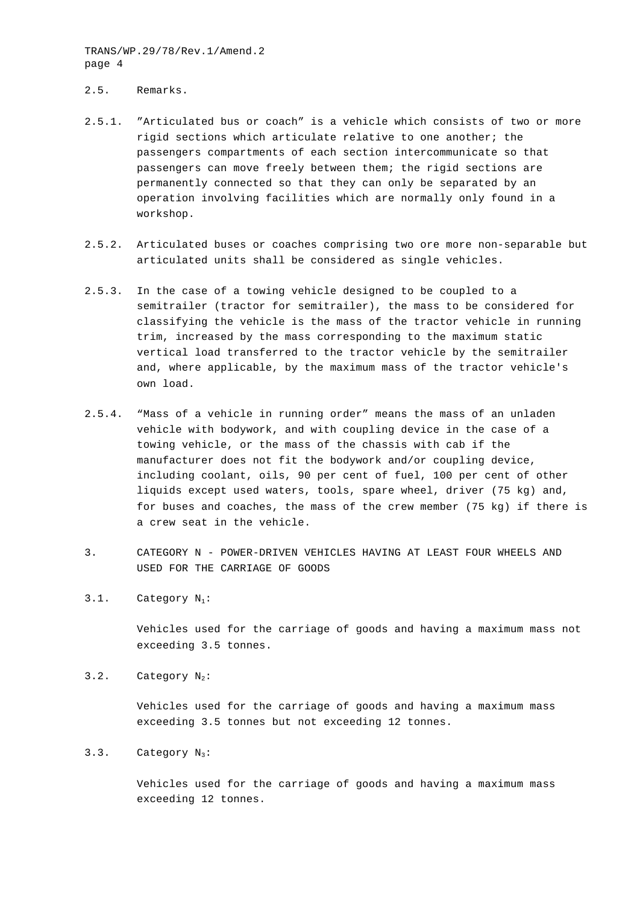#### 2.5. Remarks.

- 2.5.1. "Articulated bus or coach" is a vehicle which consists of two or more rigid sections which articulate relative to one another; the passengers compartments of each section intercommunicate so that passengers can move freely between them; the rigid sections are permanently connected so that they can only be separated by an operation involving facilities which are normally only found in a workshop.
- 2.5.2. Articulated buses or coaches comprising two ore more non-separable but articulated units shall be considered as single vehicles.
- 2.5.3. In the case of a towing vehicle designed to be coupled to a semitrailer (tractor for semitrailer), the mass to be considered for classifying the vehicle is the mass of the tractor vehicle in running trim, increased by the mass corresponding to the maximum static vertical load transferred to the tractor vehicle by the semitrailer and, where applicable, by the maximum mass of the tractor vehicle's own load.
- 2.5.4. "Mass of a vehicle in running order" means the mass of an unladen vehicle with bodywork, and with coupling device in the case of a towing vehicle, or the mass of the chassis with cab if the manufacturer does not fit the bodywork and/or coupling device, including coolant, oils, 90 per cent of fuel, 100 per cent of other liquids except used waters, tools, spare wheel, driver (75 kg) and, for buses and coaches, the mass of the crew member (75 kg) if there is a crew seat in the vehicle.
- 3. CATEGORY N POWER-DRIVEN VEHICLES HAVING AT LEAST FOUR WHEELS AND USED FOR THE CARRIAGE OF GOODS
- $3.1.$  Category  $N_1$ :

Vehicles used for the carriage of goods and having a maximum mass not exceeding 3.5 tonnes.

3.2. Category  $N_2$ :

Vehicles used for the carriage of goods and having a maximum mass exceeding 3.5 tonnes but not exceeding 12 tonnes.

3.3. Category  $N_3$ :

Vehicles used for the carriage of goods and having a maximum mass exceeding 12 tonnes.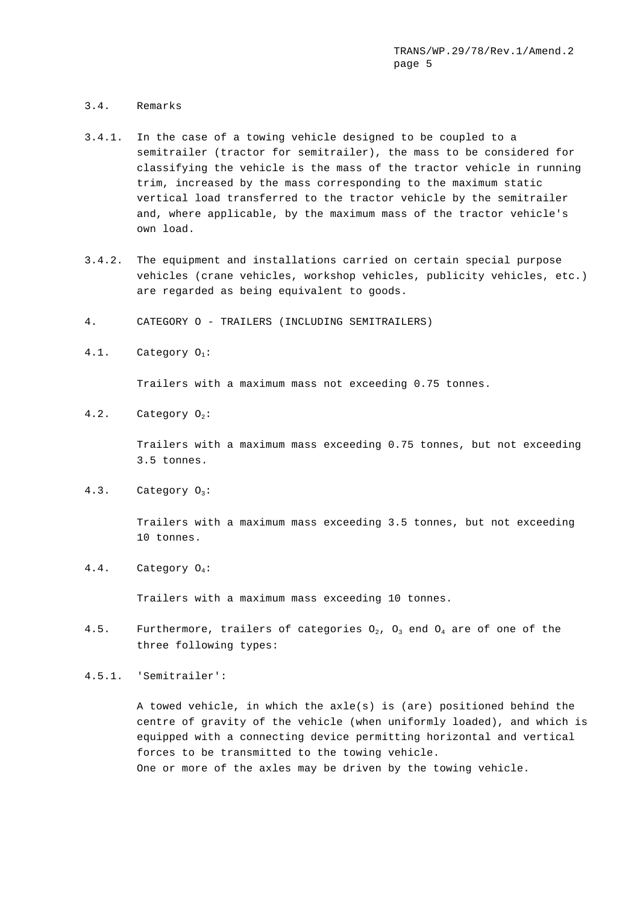#### 3.4. Remarks

- 3.4.1. In the case of a towing vehicle designed to be coupled to a semitrailer (tractor for semitrailer), the mass to be considered for classifying the vehicle is the mass of the tractor vehicle in running trim, increased by the mass corresponding to the maximum static vertical load transferred to the tractor vehicle by the semitrailer and, where applicable, by the maximum mass of the tractor vehicle's own load.
- 3.4.2. The equipment and installations carried on certain special purpose vehicles (crane vehicles, workshop vehicles, publicity vehicles, etc.) are regarded as being equivalent to goods.
- 4. CATEGORY O TRAILERS (INCLUDING SEMITRAILERS)
- 4.1. Category  $O_1$ :

Trailers with a maximum mass not exceeding 0.75 tonnes.

4.2. Category  $O_2$ :

Trailers with a maximum mass exceeding 0.75 tonnes, but not exceeding 3.5 tonnes.

4.3. Category O<sub>3</sub>:

Trailers with a maximum mass exceeding 3.5 tonnes, but not exceeding 10 tonnes.

4.4. Category O4:

Trailers with a maximum mass exceeding 10 tonnes.

- 4.5. Furthermore, trailers of categories  $O_2$ ,  $O_3$  end  $O_4$  are of one of the three following types:
- 4.5.1. 'Semitrailer':

A towed vehicle, in which the axle(s) is (are) positioned behind the centre of gravity of the vehicle (when uniformly loaded), and which is equipped with a connecting device permitting horizontal and vertical forces to be transmitted to the towing vehicle. One or more of the axles may be driven by the towing vehicle.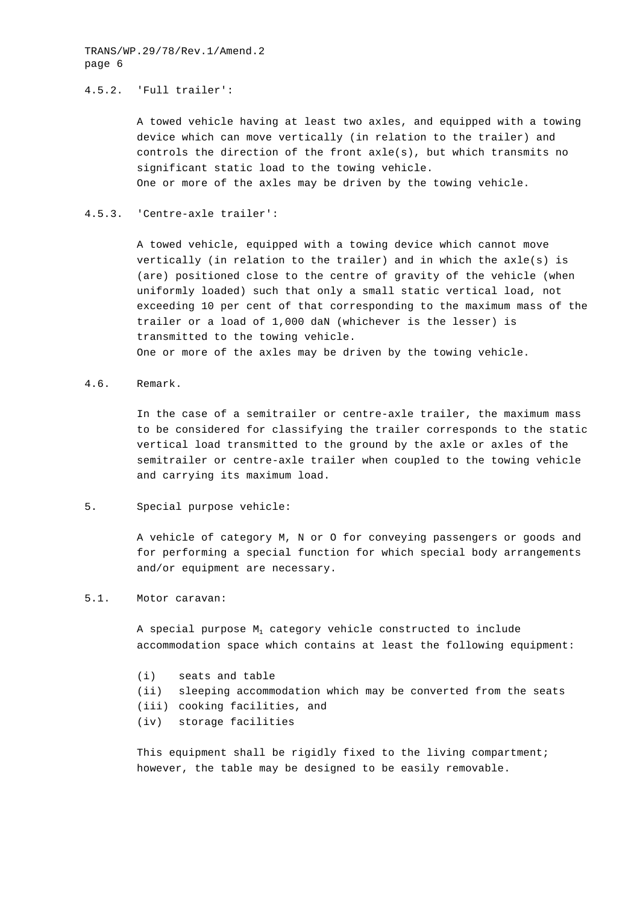#### 4.5.2. 'Full trailer':

A towed vehicle having at least two axles, and equipped with a towing device which can move vertically (in relation to the trailer) and controls the direction of the front axle(s), but which transmits no significant static load to the towing vehicle. One or more of the axles may be driven by the towing vehicle.

4.5.3. 'Centre-axle trailer':

A towed vehicle, equipped with a towing device which cannot move vertically (in relation to the trailer) and in which the axle(s) is (are) positioned close to the centre of gravity of the vehicle (when uniformly loaded) such that only a small static vertical load, not exceeding 10 per cent of that corresponding to the maximum mass of the trailer or a load of 1,000 daN (whichever is the lesser) is transmitted to the towing vehicle. One or more of the axles may be driven by the towing vehicle.

### 4.6. Remark.

In the case of a semitrailer or centre-axle trailer, the maximum mass to be considered for classifying the trailer corresponds to the static vertical load transmitted to the ground by the axle or axles of the semitrailer or centre-axle trailer when coupled to the towing vehicle and carrying its maximum load.

5. Special purpose vehicle:

A vehicle of category M, N or O for conveying passengers or goods and for performing a special function for which special body arrangements and/or equipment are necessary.

#### 5.1. Motor caravan:

A special purpose  $M_1$  category vehicle constructed to include accommodation space which contains at least the following equipment:

(i) seats and table (ii) sleeping accommodation which may be converted from the seats (iii) cooking facilities, and (iv) storage facilities

This equipment shall be rigidly fixed to the living compartment; however, the table may be designed to be easily removable.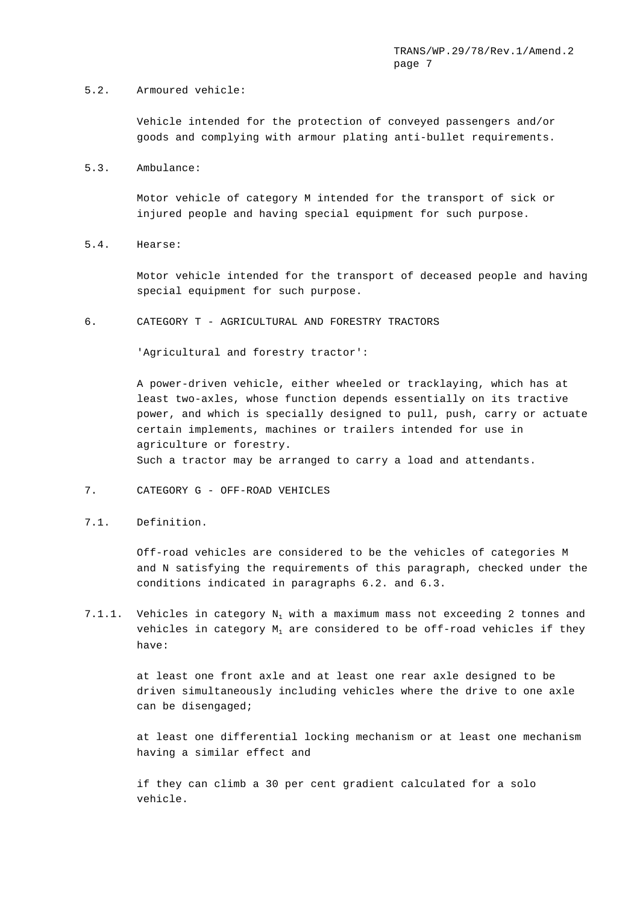#### 5.2. Armoured vehicle:

Vehicle intended for the protection of conveyed passengers and/or goods and complying with armour plating anti-bullet requirements.

#### 5.3. Ambulance:

Motor vehicle of category M intended for the transport of sick or injured people and having special equipment for such purpose.

#### 5.4. Hearse:

Motor vehicle intended for the transport of deceased people and having special equipment for such purpose.

6. CATEGORY T - AGRICULTURAL AND FORESTRY TRACTORS

'Agricultural and forestry tractor':

A power-driven vehicle, either wheeled or tracklaying, which has at least two-axles, whose function depends essentially on its tractive power, and which is specially designed to pull, push, carry or actuate certain implements, machines or trailers intended for use in agriculture or forestry. Such a tractor may be arranged to carry a load and attendants.

- 7. CATEGORY G OFF-ROAD VEHICLES
- 7.1. Definition.

Off-road vehicles are considered to be the vehicles of categories M and N satisfying the requirements of this paragraph, checked under the conditions indicated in paragraphs 6.2. and 6.3.

7.1.1. Vehicles in category  $N_1$  with a maximum mass not exceeding 2 tonnes and vehicles in category  $M_1$  are considered to be off-road vehicles if they have:

> at least one front axle and at least one rear axle designed to be driven simultaneously including vehicles where the drive to one axle can be disengaged;

at least one differential locking mechanism or at least one mechanism having a similar effect and

if they can climb a 30 per cent gradient calculated for a solo vehicle.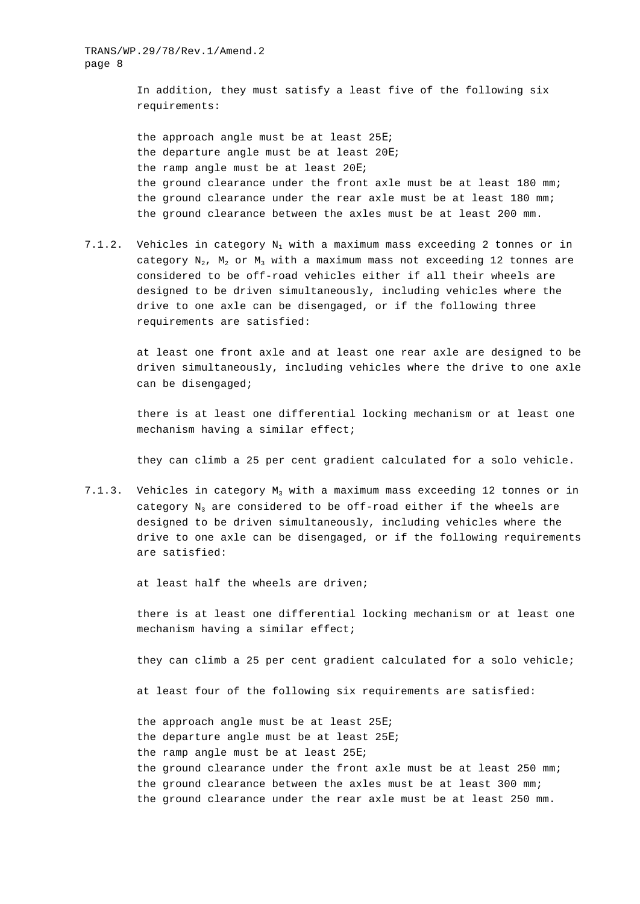> In addition, they must satisfy a least five of the following six requirements:

the approach angle must be at least 25E; the departure angle must be at least 20E; the ramp angle must be at least 20E; the ground clearance under the front axle must be at least 180 mm; the ground clearance under the rear axle must be at least 180 mm; the ground clearance between the axles must be at least 200 mm.

7.1.2. Vehicles in category  $N_1$  with a maximum mass exceeding 2 tonnes or in category  $N_2$ ,  $M_2$  or  $M_3$  with a maximum mass not exceeding 12 tonnes are considered to be off-road vehicles either if all their wheels are designed to be driven simultaneously, including vehicles where the drive to one axle can be disengaged, or if the following three requirements are satisfied:

> at least one front axle and at least one rear axle are designed to be driven simultaneously, including vehicles where the drive to one axle can be disengaged;

there is at least one differential locking mechanism or at least one mechanism having a similar effect;

they can climb a 25 per cent gradient calculated for a solo vehicle.

7.1.3. Vehicles in category  $M_3$  with a maximum mass exceeding 12 tonnes or in category  $N_3$  are considered to be off-road either if the wheels are designed to be driven simultaneously, including vehicles where the drive to one axle can be disengaged, or if the following requirements are satisfied:

at least half the wheels are driven;

there is at least one differential locking mechanism or at least one mechanism having a similar effect;

they can climb a 25 per cent gradient calculated for a solo vehicle;

at least four of the following six requirements are satisfied:

the approach angle must be at least 25E; the departure angle must be at least 25E; the ramp angle must be at least 25E; the ground clearance under the front axle must be at least 250 mm; the ground clearance between the axles must be at least 300 mm; the ground clearance under the rear axle must be at least 250 mm.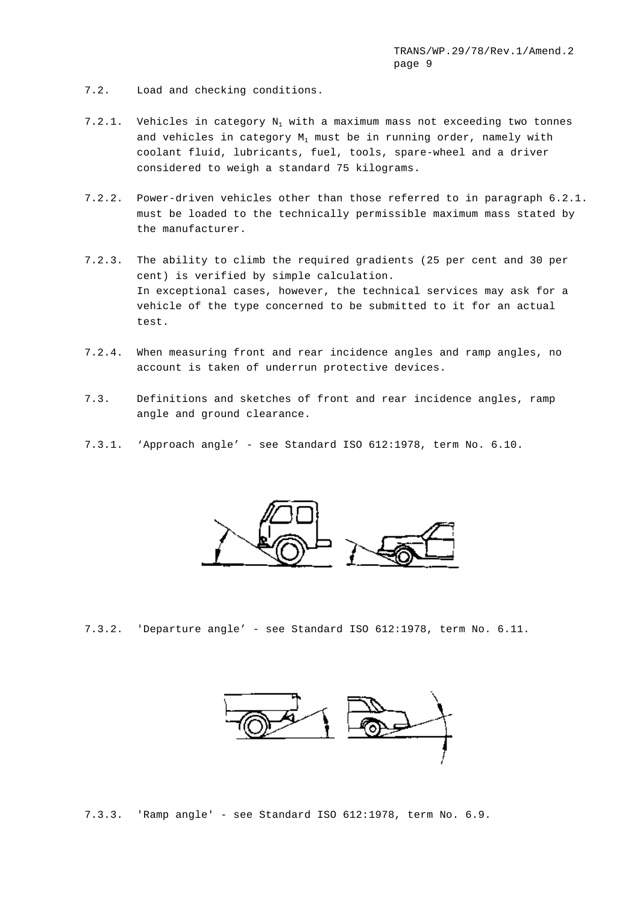- 7.2. Load and checking conditions.
- 7.2.1. Vehicles in category  $N_1$  with a maximum mass not exceeding two tonnes and vehicles in category  $M_1$  must be in running order, namely with coolant fluid, lubricants, fuel, tools, spare-wheel and a driver considered to weigh a standard 75 kilograms.
- 7.2.2. Power-driven vehicles other than those referred to in paragraph 6.2.1. must be loaded to the technically permissible maximum mass stated by the manufacturer.
- 7.2.3. The ability to climb the required gradients (25 per cent and 30 per cent) is verified by simple calculation. In exceptional cases, however, the technical services may ask for a vehicle of the type concerned to be submitted to it for an actual test.
- 7.2.4. When measuring front and rear incidence angles and ramp angles, no account is taken of underrun protective devices.
- 7.3. Definitions and sketches of front and rear incidence angles, ramp angle and ground clearance.
- 7.3.1. 'Approach angle' see Standard ISO 612:1978, term No. 6.10.



7.3.2. 'Departure angle' - see Standard ISO 612:1978, term No. 6.11.



7.3.3. 'Ramp angle' - see Standard ISO 612:1978, term No. 6.9.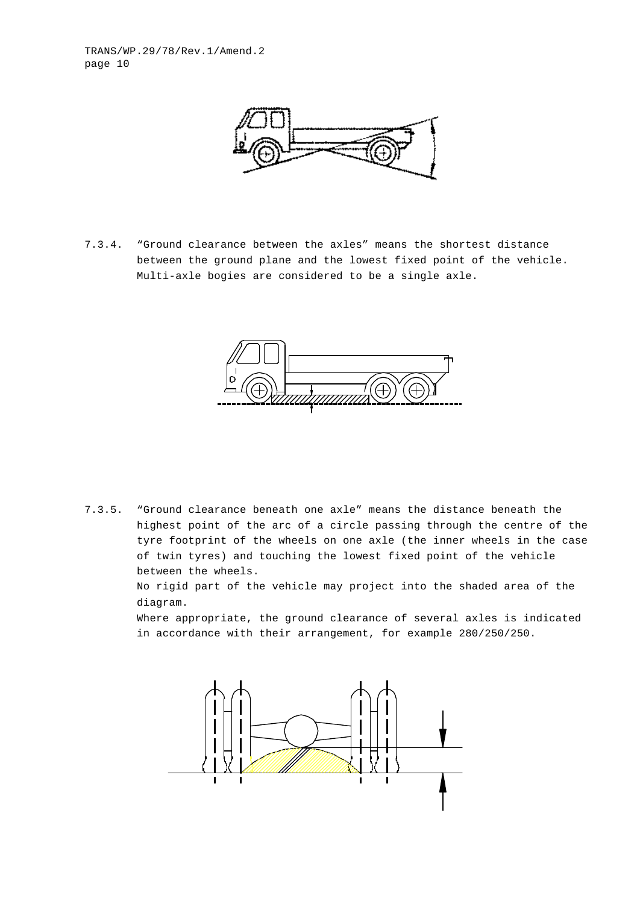

7.3.4. "Ground clearance between the axles" means the shortest distance between the ground plane and the lowest fixed point of the vehicle. Multi-axle bogies are considered to be a single axle.



7.3.5. "Ground clearance beneath one axle" means the distance beneath the highest point of the arc of a circle passing through the centre of the tyre footprint of the wheels on one axle (the inner wheels in the case of twin tyres) and touching the lowest fixed point of the vehicle between the wheels.

> No rigid part of the vehicle may project into the shaded area of the diagram.

Where appropriate, the ground clearance of several axles is indicated in accordance with their arrangement, for example 280/250/250.

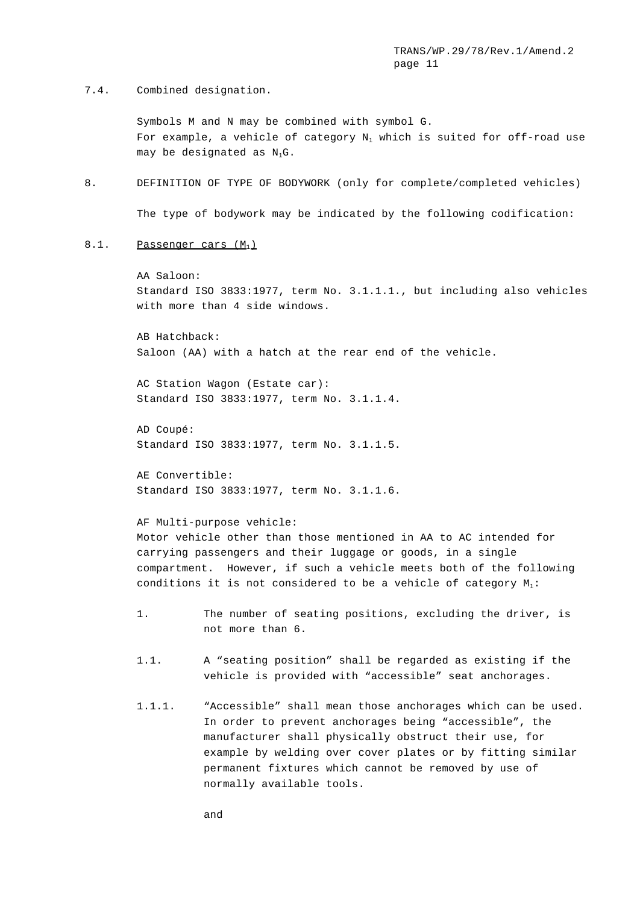7.4. Combined designation.

Symbols M and N may be combined with symbol G. For example, a vehicle of category  $N_1$  which is suited for off-road use may be designated as  $N_1G$ .

8. DEFINITION OF TYPE OF BODYWORK (only for complete/completed vehicles)

The type of bodywork may be indicated by the following codification:

8.1. Passenger cars  $(M_1)$ 

AA Saloon: Standard ISO 3833:1977, term No. 3.1.1.1., but including also vehicles with more than 4 side windows.

AB Hatchback: Saloon (AA) with a hatch at the rear end of the vehicle.

AC Station Wagon (Estate car): Standard ISO 3833:1977, term No. 3.1.1.4.

AD Coupé: Standard ISO 3833:1977, term No. 3.1.1.5.

AE Convertible: Standard ISO 3833:1977, term No. 3.1.1.6.

AF Multi-purpose vehicle: Motor vehicle other than those mentioned in AA to AC intended for carrying passengers and their luggage or goods, in a single compartment. However, if such a vehicle meets both of the following conditions it is not considered to be a vehicle of category  $M_1$ :

- 1. The number of seating positions, excluding the driver, is not more than 6.
- 1.1. A "seating position" shall be regarded as existing if the vehicle is provided with "accessible" seat anchorages.
- 1.1.1. "Accessible" shall mean those anchorages which can be used. In order to prevent anchorages being "accessible", the manufacturer shall physically obstruct their use, for example by welding over cover plates or by fitting similar permanent fixtures which cannot be removed by use of normally available tools.